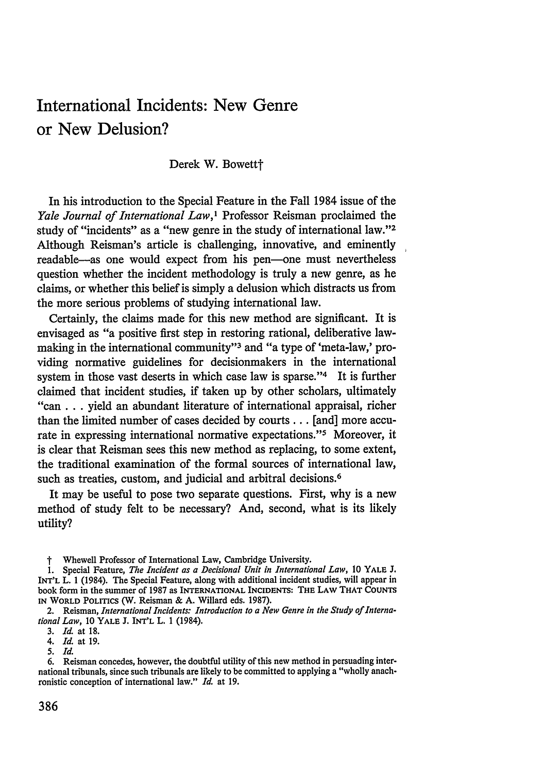# International Incidents: New Genre or New Delusion?

Derek W. Bowettt

In his introduction to the Special Feature in the Fall 1984 issue of the *Yale Journal of International Law,I* Professor Reisman proclaimed the study of "incidents" as a "new genre in the study of international law."<sup>2</sup> Although Reisman's article is challenging, innovative, and eminently readable-as one would expect from his pen-one must nevertheless question whether the incident methodology is truly a new genre, as he claims, or whether this belief is simply a delusion which distracts us from the more serious problems of studying international law.

Certainly, the claims made for this new method are significant. It is envisaged as "a positive first step in restoring rational, deliberative lawmaking in the international community"<sup>3</sup> and "a type of 'meta-law,' providing normative guidelines for decisionmakers in the international system in those vast deserts in which case law is sparse."<sup>4</sup> It is further claimed that incident studies, if taken up by other scholars, ultimately "can **...** yield an abundant literature of international appraisal, richer than the limited number of cases decided by courts... [and] more accurate in expressing international normative expectations."<sup>5</sup> Moreover, it is clear that Reisman sees this new method as replacing, to some extent, the traditional examination of the formal sources of international law, such as treaties, custom, and judicial and arbitral decisions.<sup>6</sup>

It may be useful to pose two separate questions. First, why is a new method of study felt to be necessary? And, second, what is its likely utility?

t Whewell Professor of International Law, Cambridge University.

3. *Id.* at 18.

4. *Id.* at 19.

*5. Id.*

<sup>1.</sup> Special Feature, *The Incident as a Decisional Unit in International Law,* 10 YALE **J.** INT'L L. 1 (1984). The Special Feature, along with additional incident studies, will appear in book form in the summer of 1987 as INTERNATIONAL INCIDENTS: **THE** LAW THAT **COUNTS** IN WORLD **POLITICS** (W. Reisman & A. Willard eds. 1987).

<sup>2.</sup> Reisman, *International Incidents: Introduction to a New Genre in the Study of International Law,* 10 **YALE** J. INT'L L. 1 (1984).

<sup>6.</sup> Reisman concedes, however, the doubtful utility of this new method in persuading international tribunals, since such tribunals are likely to be committed to applying a "wholly anachronistic conception of international law." *Id.* at 19.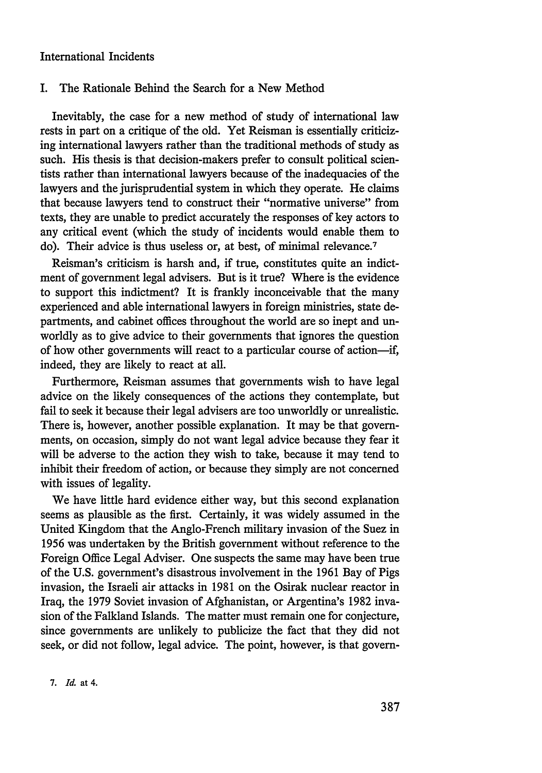#### I. The Rationale Behind the Search for a New Method

Inevitably, the case for a new method of study of international law rests in part on a critique of the old. Yet Reisman is essentially criticizing international lawyers rather than the traditional methods of study as such. His thesis is that decision-makers prefer to consult political scientists rather than international lawyers because of the inadequacies of the lawyers and the jurisprudential system in which they operate. He claims that because lawyers tend to construct their "normative universe" from texts, they are unable to predict accurately the responses of key actors to any critical event (which the study of incidents would enable them to do). Their advice is thus useless or, at best, of minimal relevance.<sup>7</sup>

Reisman's criticism is harsh and, if true, constitutes quite an indictment of government legal advisers. But is it true? Where is the evidence to support this indictment? It is frankly inconceivable that the many experienced and able international lawyers in foreign ministries, state departments, and cabinet offices throughout the world are so inept and unworldly as to give advice to their governments that ignores the question of how other governments will react to a particular course of action-if, indeed, they are likely to react at all.

Furthermore, Reisman assumes that governments wish to have legal advice on the likely consequences of the actions they contemplate, but fail to seek it because their legal advisers are too unworldly or unrealistic. There is, however, another possible explanation. It may be that governments, on occasion, simply do not want legal advice because they fear it will be adverse to the action they wish to take, because it may tend to inhibit their freedom of action, or because they simply are not concerned with issues of legality.

We have little hard evidence either way, but this second explanation seems as plausible as the first. Certainly, it was widely assumed in the United Kingdom that the Anglo-French military invasion of the Suez in 1956 was undertaken by the British government without reference to the Foreign Office Legal Adviser. One suspects the same may have been true of the U.S. government's disastrous involvement in the 1961 Bay of Pigs invasion, the Israeli air attacks in 1981 on the Osirak nuclear reactor in Iraq, the 1979 Soviet invasion of Afghanistan, or Argentina's 1982 invasion of the Falkland Islands. The matter must remain one for conjecture, since governments are unlikely to publicize the fact that they did not seek, or did not follow, legal advice. The point, however, is that govern-

7. *Id.* at 4.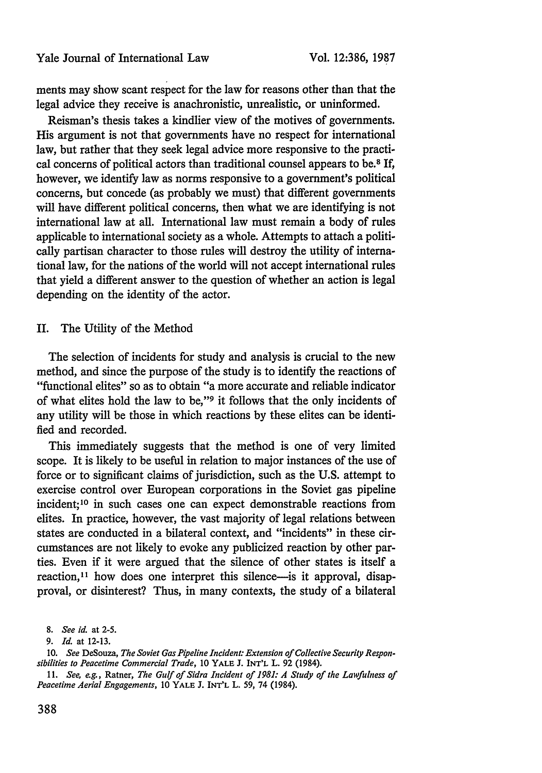ments may show scant respect for the law for reasons other than that the legal advice they receive is anachronistic, unrealistic, or uninformed.

Reisman's thesis takes a kindlier view of the motives of governments. His argument is not that governments have no respect for international law, but rather that they seek legal advice more responsive to the practical concerns of political actors than traditional counsel appears to be.8 If, however, we identify law as norms responsive to a government's political concerns, but concede (as probably we must) that different governments will have different political concerns, then what we are identifying is not international law at all. International law must remain a body of rules applicable to international society as a whole. Attempts to attach a politically partisan character to those rules will destroy the utility of international law, for the nations of the world will not accept international rules that yield a different answer to the question of whether an action is legal depending on the identity of the actor.

#### II. The Utility of the Method

The selection of incidents for study and analysis is crucial to the new method, and since the purpose of the study is to identify the reactions of "functional elites" so as to obtain "a more accurate and reliable indicator of what elites hold the law to be,"<sup>9</sup> it follows that the only incidents of any utility will be those in which reactions by these elites can be identified and recorded.

This immediately suggests that the method is one of very limited scope. It is likely to be useful in relation to major instances of the use of force or to significant claims of jurisdiction, such as the U.S. attempt to exercise control over European corporations in the Soviet gas pipeline incident; 10 in such cases one can expect demonstrable reactions from elites. In practice, however, the vast majority of legal relations between states are conducted in a bilateral context, and "incidents" in these circumstances are not likely to evoke any publicized reaction by other parties. Even if it were argued that the silence of other states is itself a reaction,<sup>11</sup> how does one interpret this silence—is it approval, disapproval, or disinterest? Thus, in many contexts, the study of a bilateral

**<sup>8.</sup>** *See id.* at 2-5.

*<sup>9.</sup> Id.* at 12-13.

*<sup>10.</sup> See* DeSouza, *The Soviet Gas Pipeline Incident: Extension of Collective Security Responsibilities to Peacetime Commercial Trade,* 10 YALE **J.** INT'L L. 92 (1984).

<sup>11.</sup> *See, e.g.,* Ratner, *The Gulf of Sidra Incident of 1981: A Study of the Lawfuhless of Peacetime Aerial Engagements,* 10 YALE J. INT'L L. *59,* 74 (1984).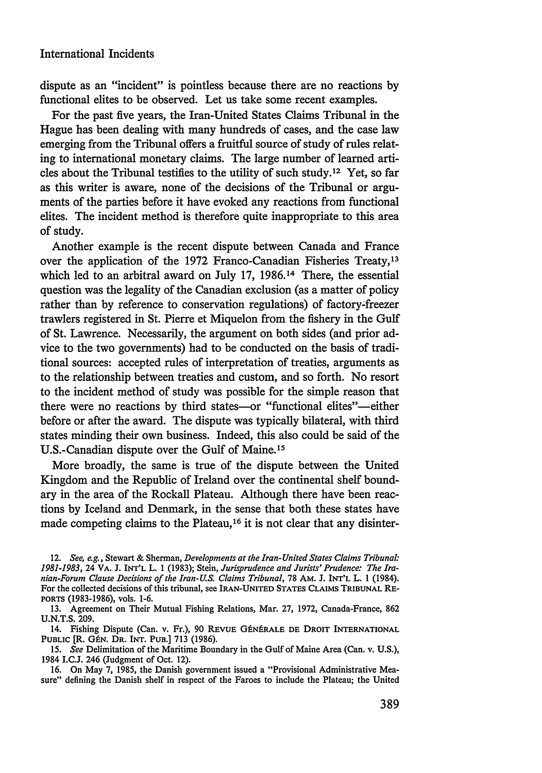dispute as an "incident" is pointless because there are no reactions by functional elites to be observed. Let us take some recent examples.

For the past five years, the Iran-United States Claims Tribunal in the Hague has been dealing with many hundreds of cases, and the case law emerging from the Tribunal offers a fruitful source of study of rules relating to international monetary claims. The large number of learned articles about the Tribunal testifies to the utility of such study. 12 Yet, so far as this writer is aware, none of the decisions of the Tribunal or arguments of the parties before it have evoked any reactions from functional elites. The incident method is therefore quite inappropriate to this area of study.

Another example is the recent dispute between Canada and France over the application of the 1972 Franco-Canadian Fisheries Treaty, <sup>13</sup> which led to an arbitral award on July 17, 1986.14 There, the essential question was the legality of the Canadian exclusion (as a matter of policy rather than by reference to conservation regulations) of factory-freezer trawlers registered in St. Pierre et Miquelon from the fishery in the Gulf of St. Lawrence. Necessarily, the argument on both sides (and prior advice to the two governments) had to be conducted on the basis of traditional sources: accepted rules of interpretation of treaties, arguments as to the relationship between treaties and custom, and so forth. No resort to the incident method of study was possible for the simple reason that there were no reactions by third states-or "functional elites"-either before or after the award. The dispute was typically bilateral, with third states minding their own business. Indeed, this also could be said of the U.S.-Canadian dispute over the Gulf of Maine. <sup>15</sup>

More broadly, the same is true of the dispute between the United Kingdom and the Republic of Ireland over the continental shelf boundary in the area of the Rockall Plateau. Although there have been reactions by Iceland and Denmark, in the sense that both these states have made competing claims to the Plateau,<sup>16</sup> it is not clear that any disinter-

14. Fishing Dispute (Can. v. Fr.), 90 REVUE GÉNÉRALE DE DROIT INTERNATIONAL **PUBLIC** [R. GtN. DR. INT. **PUB.] 713** (1986).

**15.** *See* Delimitation of the Maritime Boundary in the Gulf of Maine Area (Can. v. **U.S.),** 1984 I.C.J. 246 (Judgment of Oct. 12).

**16.** On May **7,** 1985, the Danish government issued a "Provisional Administrative Measure" defining the Danish shelf in respect of the Faroes to include the Plateau; the United

<sup>12.</sup> *See, e.g.,* Stewart & Sherman, *Developments at the Iran- United States Claims Tribunal: 1981-1983,* 24 VA. J. INT'L L. 1 (1983); Stein, *Jurisprudence and Jurists' Prudence: The Iranian-Forum Clause Decisions of the Iran-U.S. Claims Tribunal,* 78 AM. J. INT'L L. 1 (1984). For the collected decisions of this tribunal, see IRAN-UNITED STATES CLAIMS TRIBUNAL RE-PORTS (1983-1986), vols. 1-6.

<sup>13.</sup> Agreement on Their Mutual Fishing Relations, Mar. 27, 1972, Canada-France, 862 U.N.T.S. 209.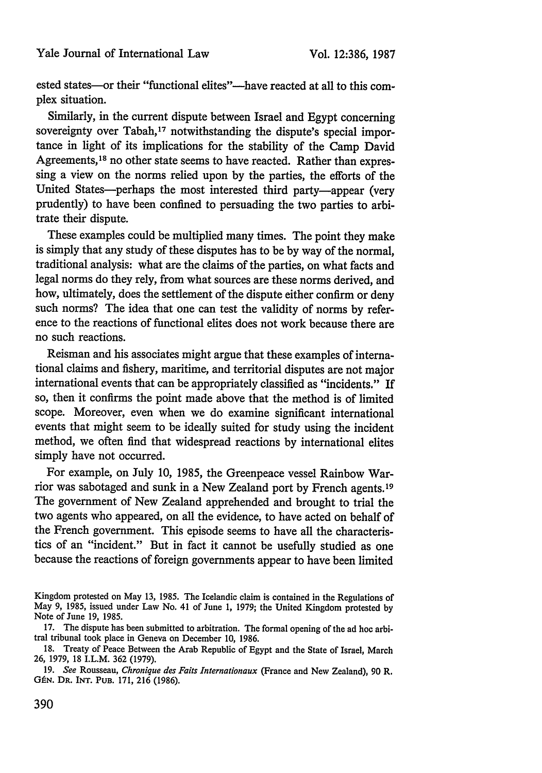ested states-or their "functional elites"--have reacted at all to this complex situation.

Similarly, in the current dispute between Israel and Egypt concerning sovereignty over Tabah,<sup>17</sup> notwithstanding the dispute's special importance in light of its implications for the stability of the Camp David Agreements,<sup>18</sup> no other state seems to have reacted. Rather than expressing a view on the norms relied upon by the parties, the efforts of the United States—perhaps the most interested third party—appear (very prudently) to have been confined to persuading the two parties to arbitrate their dispute.

These examples could be multiplied many times. The point they make is simply that any study of these disputes has to be by way of the normal, traditional analysis: what are the claims of the parties, on what facts and legal norms do they rely, from what sources are these norms derived, and how, ultimately, does the settlement of the dispute either confirm or deny such norms? The idea that one can test the validity of norms by reference to the reactions of functional elites does not work because there are no such reactions.

Reisman and his associates might argue that these examples of international claims and fishery, maritime, and territorial disputes are not major international events that can be appropriately classified as "incidents." If so, then it confirms the point made above that the method is of limited scope. Moreover, even when we do examine significant international events that might seem to be ideally suited for study using the incident method, we often find that widespread reactions by international elites simply have not occurred.

For example, on July 10, 1985, the Greenpeace vessel Rainbow Warrior was sabotaged and sunk in a New Zealand port by French agents.19 The government of New Zealand apprehended and brought to trial the two agents who appeared, on all the evidence, to have acted on behalf of the French government. This episode seems to have all the characteristics of an "incident." But in fact it cannot be usefully studied as one because the reactions of foreign governments appear to have been limited

Kingdom protested on May 13, 1985. The Icelandic claim is contained in the Regulations of May 9, 1985, issued under Law No. 41 of June 1, 1979; the United Kingdom protested by Note of June 19, 1985.

<sup>17.</sup> The dispute has been submitted to arbitration. The formal opening of the ad hoc arbitral tribunal took place in Geneva on December 10, 1986.

<sup>18.</sup> Treaty of Peace Between the Arab Republic of Egypt and the State of Israel, March 26, 1979, 18 I.L.M. 362 (1979).

<sup>19.</sup> *See* Rousseau, *Chronique des Faits Internationaux* (France and New Zealand), 90 R. **GtN. DR. INT. PUB.** 171, 216 (1986).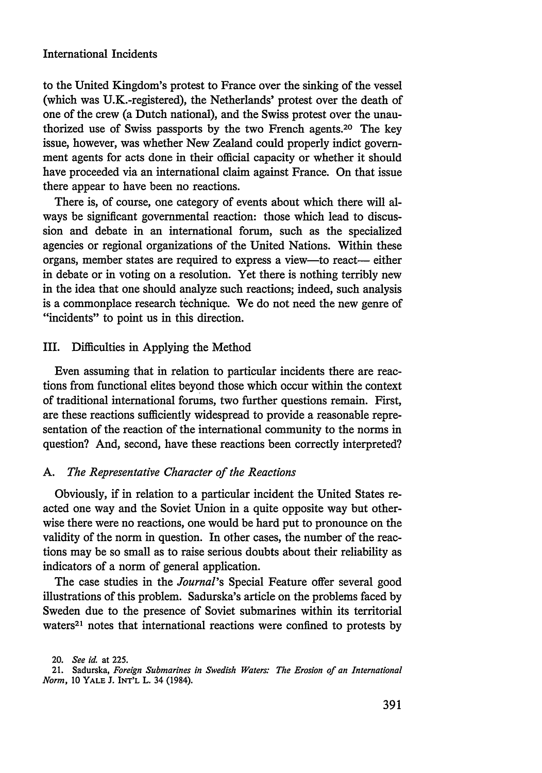to the United Kingdom's protest to France over the sinking of the vessel (which was U.K.-registered), the Netherlands' protest over the death of one of the crew (a Dutch national), and the Swiss protest over the unauthorized use of Swiss passports by the two French agents. 20 The key issue, however, was whether New Zealand could properly indict government agents for acts done in their official capacity or whether it should have proceeded via an international claim against France. On that issue there appear to have been no reactions.

There is, of course, one category of events about which there will always be significant governmental reaction: those which lead to discussion and debate in an international forum, such as the specialized agencies or regional organizations of the United Nations. Within these organs, member states are required to express a view-to react- either in debate or in voting on a resolution. Yet there is nothing terribly new in the idea that one should analyze such reactions; indeed, such analysis is a commonplace research technique. We do not need the new genre of "incidents" to point us in this direction.

## III. Difficulties in Applying the Method

Even assuming that in relation to particular incidents there are reactions from functional elites beyond those which occur within the context of traditional international forums, two further questions remain. First, are these reactions sufficiently widespread to provide a reasonable representation of the reaction of the international community to the norms in question? And, second, have these reactions been correctly interpreted?

#### *A. The Representative Character of the Reactions*

Obviously, if in relation to a particular incident the United States reacted one way and the Soviet Union in a quite opposite way but otherwise there were no reactions, one would be hard put to pronounce on the validity of the norm in question. In other cases, the number of the reactions may be so small as to raise serious doubts about their reliability as indicators of a norm of general application.

The case studies in the *Journal's* Special Feature offer several good illustrations of this problem. Sadurska's article on the problems faced by Sweden due to the presence of Soviet submarines within its territorial waters<sup>21</sup> notes that international reactions were confined to protests by

<sup>20.</sup> *See id.* at 225.

<sup>21.</sup> Sadurska, *Foreign Submarines in Swedish Waters: The Erosion of an International Norm, 10* YALE J. INT'L L. 34 (1984).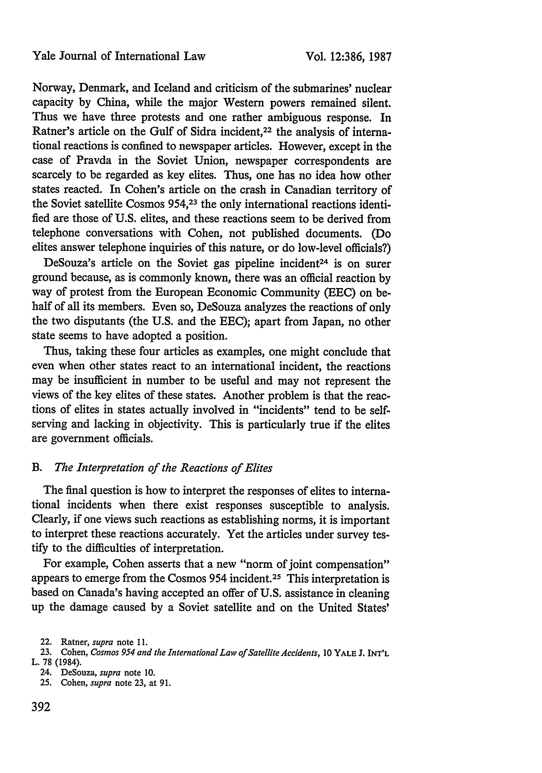Norway, Denmark, and Iceland and criticism of the submarines' nuclear capacity by China, while the major Western powers remained silent. Thus we have three protests and one rather ambiguous response. In Ratner's article on the Gulf of Sidra incident,<sup>22</sup> the analysis of international reactions is confined to newspaper articles. However, except in the case of Pravda in the Soviet Union, newspaper correspondents are scarcely to be regarded as key elites. Thus, one has no idea how other states reacted. In Cohen's article on the crash in Canadian territory of the Soviet satellite Cosmos 954,23 the only international reactions identified are those of U.S. elites, and these reactions seem to be derived from telephone conversations with Cohen, not published documents. (Do elites answer telephone inquiries of this nature, or do low-level officials?)

DeSouza's article on the Soviet gas pipeline incident<sup>24</sup> is on surer ground because, as is commonly known, there was an official reaction by way of protest from the European Economic Community (EEC) on behalf of all its members. Even so, DeSouza analyzes the reactions of only the two disputants (the U.S. and the EEC); apart from Japan, no other state seems to have adopted a position.

Thus, taking these four articles as examples, one might conclude that even when other states react to an international incident, the reactions may be insufficient in number to be useful and may not represent the views of the key elites of these states. Another problem is that the reactions of elites in states actually involved in "incidents" tend to be selfserving and lacking in objectivity. This is particularly true if the elites are government officials.

#### *B. The Interpretation of the Reactions of Elites*

The final question is how to interpret the responses of elites to international incidents when there exist responses susceptible to analysis. Clearly, if one views such reactions as establishing norms, it is important to interpret these reactions accurately. Yet the articles under survey testify to the difficulties of interpretation.

For example, Cohen asserts that a new "norm of joint compensation" appears to emerge from the Cosmos 954 incident.<sup>25</sup> This interpretation is based on Canada's having accepted an offer of U.S. assistance in cleaning up the damage caused by a Soviet satellite and on the United States'

- 24. DeSouza, *supra* note 10.
- **25.** Cohen, *supra* note **23,** at 91.

<sup>22.</sup> Ratner, *supra* note **11.**

<sup>23.</sup> Cohen, *Cosmos 954 and the International Law of Satellite Accidents,* **10** YALE J. INT'L L. **78** (1984).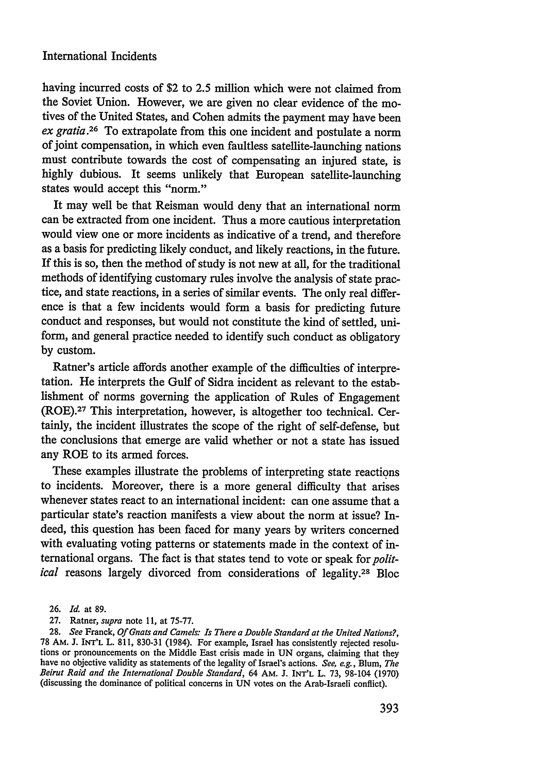having incurred costs of \$2 to 2.5 million which were not claimed from the Soviet Union. However, we are given no clear evidence of the motives of the United States, and Cohen admits the payment may have been *ex gratia.26* To extrapolate from this one incident and postulate a norm of joint compensation, in which even faultless satellite-launching nations must contribute towards the cost of compensating an injured state, is highly dubious. It seems unlikely that European satellite-launching states would accept this "norm."

It may well be that Reisman would deny that an international norm can be extracted from one incident. Thus a more cautious interpretation would view one or more incidents as indicative of a trend, and therefore as a basis for predicting likely conduct, and likely reactions, in the future. If this is so, then the method of study is not new at all, for the traditional methods of identifying customary rules involve the analysis of state practice, and state reactions, in a series of similar events. The only real difference is that a few incidents would form a basis for predicting future conduct and responses, but would not constitute the kind of settled, uniform, and general practice needed to identify such conduct as obligatory by custom.

Ratner's article affords another example of the difficulties of interpretation. He interprets the Gulf of Sidra incident as relevant to the establishment of norms governing the application of Rules of Engagement (ROE). 27 This interpretation, however, is altogether too technical. Certainly, the incident illustrates the scope of the right of self-defense, but the conclusions that emerge are valid whether or not a state has issued any ROE to its armed forces.

These examples illustrate the problems of interpreting state reactions to incidents. Moreover, there is a more general difficulty that arises whenever states react to an international incident: can one assume that a particular state's reaction manifests a view about the norm at issue? Indeed, this question has been faced for many years by writers concerned with evaluating voting patterns or statements made in the context of international organs. The fact is that states tend to vote or speak for *political* reasons largely divorced from considerations of legality.28 Bloc

27. Ratner, *supra* note 11, at 75-77.

<sup>26.</sup> *Id.* at 89.

<sup>28.</sup> *See* Franck, *Of Gnats and Camels: Is There a Double Standard at the United Nations?,* 78 AM. J. INT'L L. 811, 830-31 (1984). For example, Israel has consistently rejected resolutions or pronouncements on the Middle East crisis made in UN organs, claiming that they have no objective validity as statements of the legality of Israel's actions. *See, e.g.,* Blum, *The Beirut Raid and the International Double Standard*, 64 AM. J. INT'L L. 73, 98-104 (1970) (discussing the dominance of political concerns in UN votes on the Arab-Israeli conflict).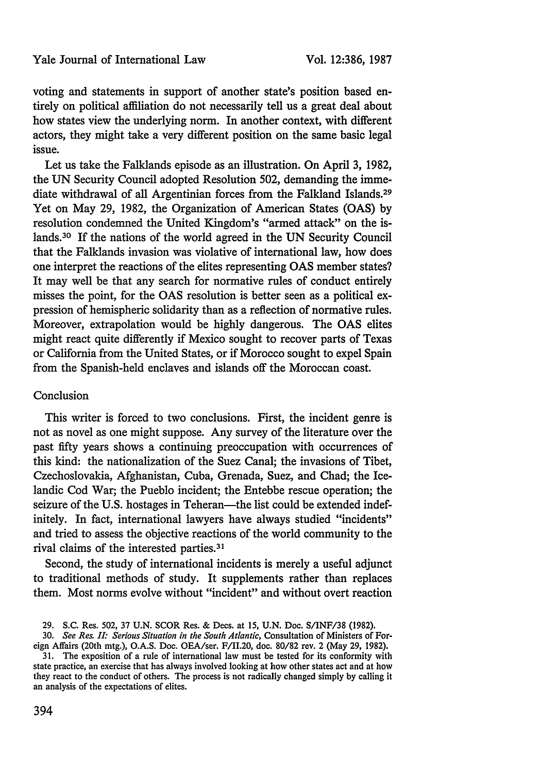voting and statements in support of another state's position based entirely on political affiliation do not necessarily tell us a great deal about how states view the underlying norm. In another context, with different actors, they might take a very different position on the same basic legal issue.

Let us take the Falklands episode as an illustration. On April 3, 1982, the UN Security Council adopted Resolution 502, demanding the immediate withdrawal of all Argentinian forces from the Falkland Islands. <sup>29</sup> Yet on May 29, 1982, the Organization of American States (OAS) by resolution condemned the United Kingdom's "armed attack" on the islands.30 If the nations of the world agreed in the UN Security Council that the Falklands invasion was violative of international law, how does one interpret the reactions of the elites representing **OAS** member states? It may well be that any search for normative rules of conduct entirely misses the point, for the OAS resolution is better seen as a political expression of hemispheric solidarity than as a reflection of normative rules. Moreover, extrapolation would be highly dangerous. The OAS elites might react quite differently if Mexico sought to recover parts of Texas or California from the United States, or if Morocco sought to expel Spain from the Spanish-held enclaves and islands off the Moroccan coast.

#### Conclusion

This writer is forced to two conclusions. First, the incident genre is not as novel as one might suppose. Any survey of the literature over the past fifty years shows a continuing preoccupation with occurrences of this kind: the nationalization of the Suez Canal; the invasions of Tibet, Czechoslovakia, Afghanistan, Cuba, Grenada, Suez, and Chad; the Icelandic Cod War; the Pueblo incident; the Entebbe rescue operation; the seizure of the U.S. hostages in Teheran—the list could be extended indefinitely. In fact, international lawyers have always studied "incidents" and tried to assess the objective reactions of the world community to the rival claims of the interested parties.<sup>31</sup>

Second, the study of international incidents is merely a useful adjunct to traditional methods of study. It supplements rather than replaces them. Most norms evolve without "incident" and without overt reaction

<sup>29.</sup> **S.C.** Res. 502, 37 **U.N.** SCOR Res. & Dees. at 15, U.N. Doc. S/INF/38 (1982).

<sup>30.</sup> *See Res. IL Serious Situation in the South Atlantic,* Consultation of Ministers of Foreign Affairs (20th mtg.), O.A.S. Doc. OEA/ser. F/II.20, doe. 80/82 rev. 2 (May 29, 1982).

<sup>31.</sup> The exposition of a rule of international law must be tested for its conformity with state practice, an exercise that has always involved looking at how other states act and at how they react to the conduct of others. The process is not radically changed simply **by** calling it an analysis of the expectations of elites.